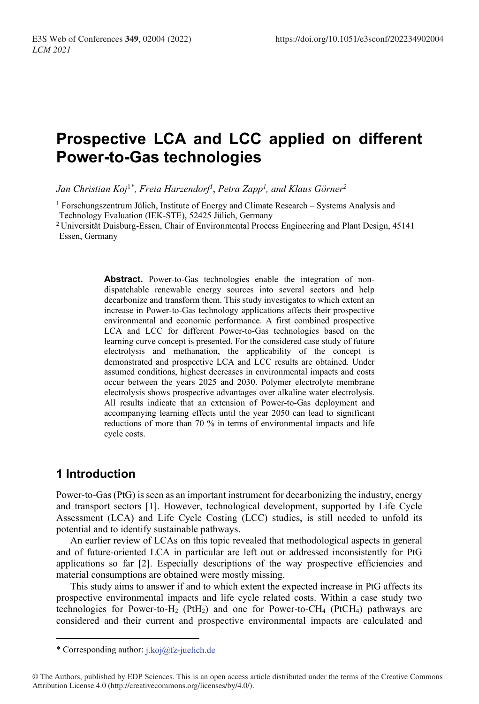# **Prospective LCA and LCC applied on different Power-to-Gas technologies**

*Jan Christian Koj*1[\\*](#page-0-0) *, Freia Harzendorf1* , *Petra Zapp1 , and Klaus Görner2*

<sup>1</sup> Forschungszentrum Jülich, Institute of Energy and Climate Research – Systems Analysis and Technology Evaluation (IEK-STE), 52425 Jülich, Germany

2 Universität Duisburg-Essen, Chair of Environmental Process Engineering and Plant Design, 45141 Essen, Germany

> **Abstract.** Power-to-Gas technologies enable the integration of nondispatchable renewable energy sources into several sectors and help decarbonize and transform them. This study investigates to which extent an increase in Power-to-Gas technology applications affects their prospective environmental and economic performance. A first combined prospective LCA and LCC for different Power-to-Gas technologies based on the learning curve concept is presented. For the considered case study of future electrolysis and methanation, the applicability of the concept is demonstrated and prospective LCA and LCC results are obtained. Under assumed conditions, highest decreases in environmental impacts and costs occur between the years 2025 and 2030. Polymer electrolyte membrane electrolysis shows prospective advantages over alkaline water electrolysis. All results indicate that an extension of Power-to-Gas deployment and accompanying learning effects until the year 2050 can lead to significant reductions of more than 70 % in terms of environmental impacts and life cycle costs.

## **1 Introduction**

Power-to-Gas (PtG) is seen as an important instrument for decarbonizing the industry, energy and transport sectors [1]. However, technological development, supported by Life Cycle Assessment (LCA) and Life Cycle Costing (LCC) studies, is still needed to unfold its potential and to identify sustainable pathways.

An earlier review of LCAs on this topic revealed that methodological aspects in general and of future-oriented LCA in particular are left out or addressed inconsistently for PtG applications so far [2]. Especially descriptions of the way prospective efficiencies and material consumptions are obtained were mostly missing.

This study aims to answer if and to which extent the expected increase in PtG affects its prospective environmental impacts and life cycle related costs. Within a case study two technologies for Power-to-H<sub>2</sub> (PtH<sub>2</sub>) and one for Power-to-CH<sub>4</sub> (PtCH<sub>4</sub>) pathways are considered and their current and prospective environmental impacts are calculated and

<sup>\*</sup> Corresponding author: j.koj@fz-juelich.de

<span id="page-0-0"></span><sup>©</sup> The Authors, published by EDP Sciences. This is an open access article distributed under the terms of the Creative Commons Attribution License 4.0 (http://creativecommons.org/licenses/by/4.0/).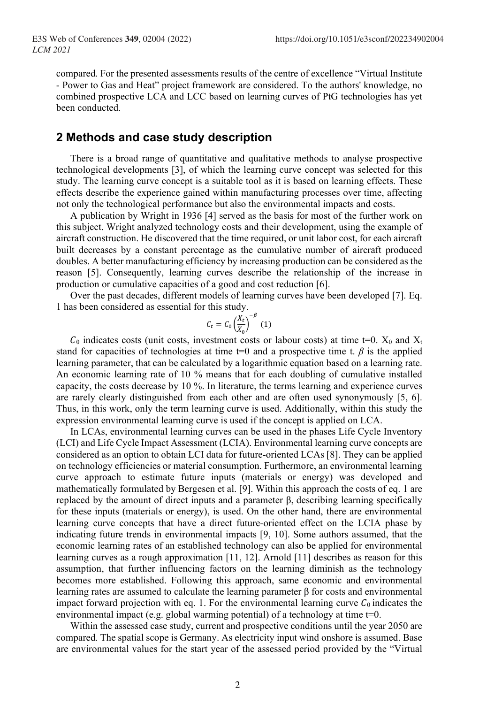compared. For the presented assessments results of the centre of excellence "Virtual Institute - Power to Gas and Heat" project framework are considered. To the authors' knowledge, no combined prospective LCA and LCC based on learning curves of PtG technologies has yet been conducted.

#### **2 Methods and case study description**

There is a broad range of quantitative and qualitative methods to analyse prospective technological developments [3], of which the learning curve concept was selected for this study. The learning curve concept is a suitable tool as it is based on learning effects. These effects describe the experience gained within manufacturing processes over time, affecting not only the technological performance but also the environmental impacts and costs.

A publication by Wright in 1936 [4] served as the basis for most of the further work on this subject. Wright analyzed technology costs and their development, using the example of aircraft construction. He discovered that the time required, or unit labor cost, for each aircraft built decreases by a constant percentage as the cumulative number of aircraft produced doubles. A better manufacturing efficiency by increasing production can be considered as the reason [5]. Consequently, learning curves describe the relationship of the increase in production or cumulative capacities of a good and cost reduction [6].

Over the past decades, different models of learning curves have been developed [7]. Eq. 1 has been considered as essential for this study.

$$
C_t = C_0 \left(\frac{X_t}{X_0}\right)^{-\beta} \tag{1}
$$

 $C_0$  indicates costs (unit costs, investment costs or labour costs) at time t=0.  $X_0$  and  $X_t$ stand for capacities of technologies at time t=0 and a prospective time t.  $\beta$  is the applied learning parameter, that can be calculated by a logarithmic equation based on a learning rate. An economic learning rate of 10 % means that for each doubling of cumulative installed capacity, the costs decrease by 10 %. In literature, the terms learning and experience curves are rarely clearly distinguished from each other and are often used synonymously [5, 6]. Thus, in this work, only the term learning curve is used. Additionally, within this study the expression environmental learning curve is used if the concept is applied on LCA.

In LCAs, environmental learning curves can be used in the phases Life Cycle Inventory (LCI) and Life Cycle Impact Assessment (LCIA). Environmental learning curve concepts are considered as an option to obtain LCI data for future-oriented LCAs [8]. They can be applied on technology efficiencies or material consumption. Furthermore, an environmental learning curve approach to estimate future inputs (materials or energy) was developed and mathematically formulated by Bergesen et al. [9]. Within this approach the costs of eq. 1 are replaced by the amount of direct inputs and a parameter β, describing learning specifically for these inputs (materials or energy), is used. On the other hand, there are environmental learning curve concepts that have a direct future-oriented effect on the LCIA phase by indicating future trends in environmental impacts [9, 10]. Some authors assumed, that the economic learning rates of an established technology can also be applied for environmental learning curves as a rough approximation [11, 12]. Arnold [11] describes as reason for this assumption, that further influencing factors on the learning diminish as the technology becomes more established. Following this approach, same economic and environmental learning rates are assumed to calculate the learning parameter β for costs and environmental impact forward projection with eq. 1. For the environmental learning curve  $C_0$  indicates the environmental impact (e.g. global warming potential) of a technology at time  $t=0$ .

Within the assessed case study, current and prospective conditions until the year 2050 are compared. The spatial scope is Germany. As electricity input wind onshore is assumed. Base are environmental values for the start year of the assessed period provided by the "Virtual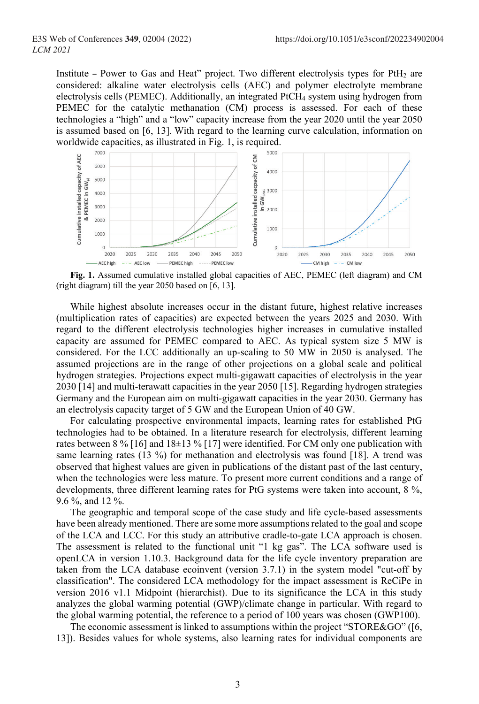Institute – Power to Gas and Heat" project. Two different electrolysis types for PtH<sub>2</sub> are considered: alkaline water electrolysis cells (AEC) and polymer electrolyte membrane electrolysis cells (PEMEC). Additionally, an integrated PtCH<sub>4</sub> system using hydrogen from PEMEC for the catalytic methanation (CM) process is assessed. For each of these technologies a "high" and a "low" capacity increase from the year 2020 until the year 2050 is assumed based on [6, 13]. With regard to the learning curve calculation, information on worldwide capacities, as illustrated in Fig. 1, is required.



**Fig. 1.** Assumed cumulative installed global capacities of AEC, PEMEC (left diagram) and CM (right diagram) till the year 2050 based on [6, 13].

While highest absolute increases occur in the distant future, highest relative increases (multiplication rates of capacities) are expected between the years 2025 and 2030. With regard to the different electrolysis technologies higher increases in cumulative installed capacity are assumed for PEMEC compared to AEC. As typical system size 5 MW is considered. For the LCC additionally an up-scaling to 50 MW in 2050 is analysed. The assumed projections are in the range of other projections on a global scale and political hydrogen strategies. Projections expect multi-gigawatt capacities of electrolysis in the year 2030 [14] and multi-terawatt capacities in the year 2050 [15]. Regarding hydrogen strategies Germany and the European aim on multi-gigawatt capacities in the year 2030. Germany has an electrolysis capacity target of 5 GW and the European Union of 40 GW.

For calculating prospective environmental impacts, learning rates for established PtG technologies had to be obtained. In a literature research for electrolysis, different learning rates between 8 % [16] and 18±13 % [17] were identified. For CM only one publication with same learning rates (13 %) for methanation and electrolysis was found [18]. A trend was observed that highest values are given in publications of the distant past of the last century, when the technologies were less mature. To present more current conditions and a range of developments, three different learning rates for PtG systems were taken into account, 8 %, 9.6 %, and 12 %.

The geographic and temporal scope of the case study and life cycle-based assessments have been already mentioned. There are some more assumptions related to the goal and scope of the LCA and LCC. For this study an attributive cradle-to-gate LCA approach is chosen. The assessment is related to the functional unit "1 kg gas". The LCA software used is openLCA in version 1.10.3. Background data for the life cycle inventory preparation are taken from the LCA database ecoinvent (version 3.7.1) in the system model "cut-off by classification". The considered LCA methodology for the impact assessment is ReCiPe in version 2016 v1.1 Midpoint (hierarchist). Due to its significance the LCA in this study analyzes the global warming potential (GWP)/climate change in particular. With regard to the global warming potential, the reference to a period of 100 years was chosen (GWP100).

The economic assessment is linked to assumptions within the project "STORE&GO" ([6, 13]). Besides values for whole systems, also learning rates for individual components are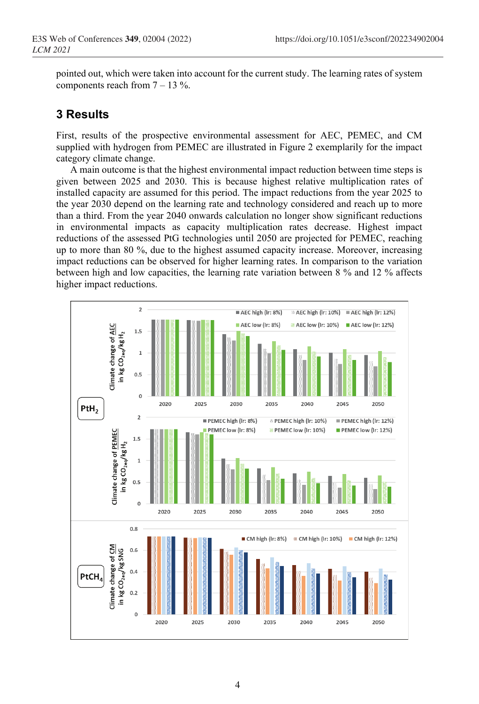pointed out, which were taken into account for the current study. The learning rates of system components reach from  $7 - 13 \%$ .

## **3 Results**

First, results of the prospective environmental assessment for AEC, PEMEC, and CM supplied with hydrogen from PEMEC are illustrated in Figure 2 exemplarily for the impact category climate change.

A main outcome is that the highest environmental impact reduction between time steps is given between 2025 and 2030. This is because highest relative multiplication rates of installed capacity are assumed for this period. The impact reductions from the year 2025 to the year 2030 depend on the learning rate and technology considered and reach up to more than a third. From the year 2040 onwards calculation no longer show significant reductions in environmental impacts as capacity multiplication rates decrease. Highest impact reductions of the assessed PtG technologies until 2050 are projected for PEMEC, reaching up to more than 80 %, due to the highest assumed capacity increase. Moreover, increasing impact reductions can be observed for higher learning rates. In comparison to the variation between high and low capacities, the learning rate variation between 8 % and 12 % affects higher impact reductions.

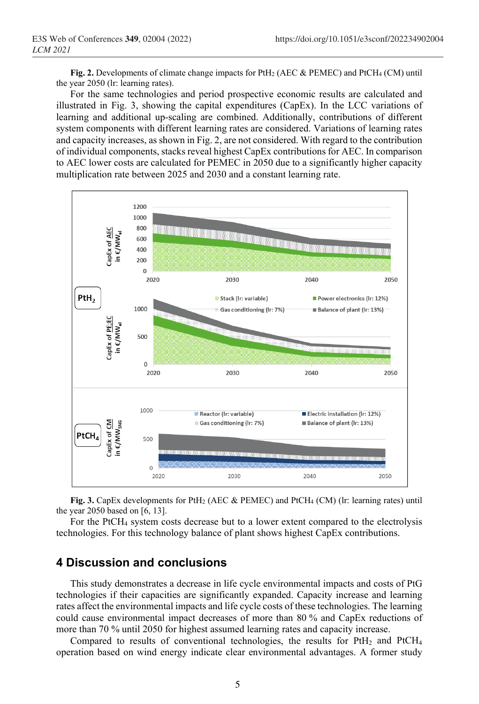**Fig. 2.** Developments of climate change impacts for PtH2 (AEC & PEMEC) and PtCH4 (CM) until the year 2050 (lr: learning rates).

For the same technologies and period prospective economic results are calculated and illustrated in Fig. 3, showing the capital expenditures (CapEx). In the LCC variations of learning and additional up-scaling are combined. Additionally, contributions of different system components with different learning rates are considered. Variations of learning rates and capacity increases, as shown in Fig. 2, are not considered. With regard to the contribution of individual components, stacks reveal highest CapEx contributions for AEC. In comparison to AEC lower costs are calculated for PEMEC in 2050 due to a significantly higher capacity multiplication rate between 2025 and 2030 and a constant learning rate.



**Fig. 3.** CapEx developments for PtH2 (AEC & PEMEC) and PtCH4 (CM) (lr: learning rates) until the year 2050 based on [6, 13].

For the PtCH4 system costs decrease but to a lower extent compared to the electrolysis technologies. For this technology balance of plant shows highest CapEx contributions.

## **4 Discussion and conclusions**

This study demonstrates a decrease in life cycle environmental impacts and costs of PtG technologies if their capacities are significantly expanded. Capacity increase and learning rates affect the environmental impacts and life cycle costs of these technologies. The learning could cause environmental impact decreases of more than 80 % and CapEx reductions of more than 70 % until 2050 for highest assumed learning rates and capacity increase.

Compared to results of conventional technologies, the results for  $PtH<sub>2</sub>$  and  $PtCH<sub>4</sub>$ operation based on wind energy indicate clear environmental advantages. A former study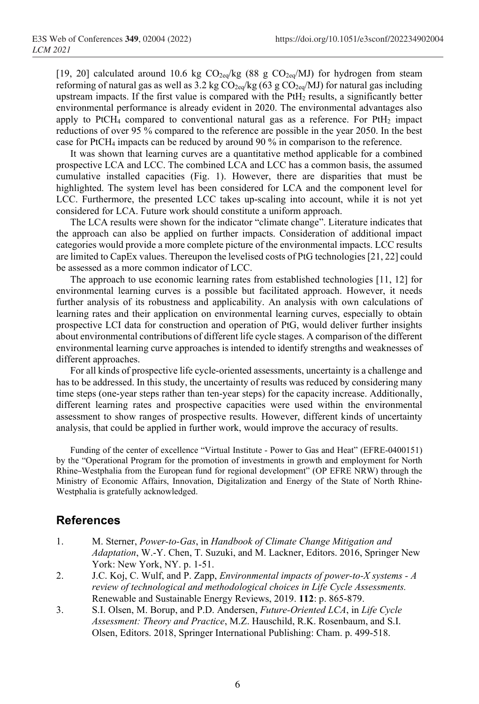[19, 20] calculated around 10.6 kg  $CO<sub>2eq</sub>/kg$  (88 g  $CO<sub>2eq</sub>/MJ$ ) for hydrogen from steam reforming of natural gas as well as 3.2 kg  $CO_{2eq}/kg$  (63 g  $CO_{2eq}/MJ$ ) for natural gas including upstream impacts. If the first value is compared with the PtH<sub>2</sub> results, a significantly better environmental performance is already evident in 2020. The environmental advantages also apply to PtCH<sub>4</sub> compared to conventional natural gas as a reference. For PtH<sub>2</sub> impact reductions of over 95 % compared to the reference are possible in the year 2050. In the best case for PtCH4 impacts can be reduced by around 90 % in comparison to the reference.

It was shown that learning curves are a quantitative method applicable for a combined prospective LCA and LCC. The combined LCA and LCC has a common basis, the assumed cumulative installed capacities (Fig. 1). However, there are disparities that must be highlighted. The system level has been considered for LCA and the component level for LCC. Furthermore, the presented LCC takes up-scaling into account, while it is not yet considered for LCA. Future work should constitute a uniform approach.

The LCA results were shown for the indicator "climate change". Literature indicates that the approach can also be applied on further impacts. Consideration of additional impact categories would provide a more complete picture of the environmental impacts. LCC results are limited to CapEx values. Thereupon the levelised costs of PtG technologies [21, 22] could be assessed as a more common indicator of LCC.

The approach to use economic learning rates from established technologies [11, 12] for environmental learning curves is a possible but facilitated approach. However, it needs further analysis of its robustness and applicability. An analysis with own calculations of learning rates and their application on environmental learning curves, especially to obtain prospective LCI data for construction and operation of PtG, would deliver further insights about environmental contributions of different life cycle stages. A comparison of the different environmental learning curve approaches is intended to identify strengths and weaknesses of different approaches.

For all kinds of prospective life cycle-oriented assessments, uncertainty is a challenge and has to be addressed. In this study, the uncertainty of results was reduced by considering many time steps (one-year steps rather than ten-year steps) for the capacity increase. Additionally, different learning rates and prospective capacities were used within the environmental assessment to show ranges of prospective results. However, different kinds of uncertainty analysis, that could be applied in further work, would improve the accuracy of results.

Funding of the center of excellence "Virtual Institute - Power to Gas and Heat" (EFRE-0400151) by the "Operational Program for the promotion of investments in growth and employment for North Rhine–Westphalia from the European fund for regional development" (OP EFRE NRW) through the Ministry of Economic Affairs, Innovation, Digitalization and Energy of the State of North Rhine-Westphalia is gratefully acknowledged.

#### **References**

- 1. M. Sterner, *Power-to-Gas*, in *Handbook of Climate Change Mitigation and Adaptation*, W.-Y. Chen, T. Suzuki, and M. Lackner, Editors. 2016, Springer New York: New York, NY. p. 1-51.
- 2. J.C. Koj, C. Wulf, and P. Zapp, *Environmental impacts of power-to-X systems - A review of technological and methodological choices in Life Cycle Assessments.* Renewable and Sustainable Energy Reviews, 2019. **112**: p. 865-879.
- 3. S.I. Olsen, M. Borup, and P.D. Andersen, *Future-Oriented LCA*, in *Life Cycle Assessment: Theory and Practice*, M.Z. Hauschild, R.K. Rosenbaum, and S.I. Olsen, Editors. 2018, Springer International Publishing: Cham. p. 499-518.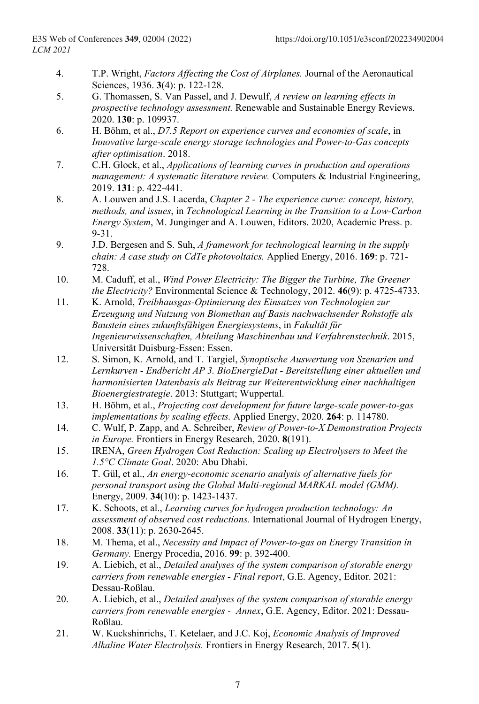- 4. T.P. Wright, *Factors Affecting the Cost of Airplanes.* Journal of the Aeronautical Sciences, 1936. **3**(4): p. 122-128.
- 5. G. Thomassen, S. Van Passel, and J. Dewulf, *A review on learning effects in prospective technology assessment.* Renewable and Sustainable Energy Reviews, 2020. **130**: p. 109937.
- 6. H. Böhm, et al., *D7.5 Report on experience curves and economies of scale*, in *Innovative large-scale energy storage technologies and Power-to-Gas concepts after optimisation*. 2018.
- 7. C.H. Glock, et al., *Applications of learning curves in production and operations management: A systematic literature review.* Computers & Industrial Engineering, 2019. **131**: p. 422-441.
- 8. A. Louwen and J.S. Lacerda, *Chapter 2 - The experience curve: concept, history, methods, and issues*, in *Technological Learning in the Transition to a Low-Carbon Energy System*, M. Junginger and A. Louwen, Editors. 2020, Academic Press. p. 9-31.
- 9. J.D. Bergesen and S. Suh, *A framework for technological learning in the supply chain: A case study on CdTe photovoltaics.* Applied Energy, 2016. **169**: p. 721- 728.
- 10. M. Caduff, et al., *Wind Power Electricity: The Bigger the Turbine, The Greener the Electricity?* Environmental Science & Technology, 2012. **46**(9): p. 4725-4733.
- 11. K. Arnold, *Treibhausgas-Optimierung des Einsatzes von Technologien zur Erzeugung und Nutzung von Biomethan auf Basis nachwachsender Rohstoffe als Baustein eines zukunftsfähigen Energiesystems*, in *Fakultät für Ingenieurwissenschaften, Abteilung Maschinenbau und Verfahrenstechnik*. 2015, Universität Duisburg-Essen: Essen.
- 12. S. Simon, K. Arnold, and T. Targiel, *Synoptische Auswertung von Szenarien und Lernkurven - Endbericht AP 3. BioEnergieDat - Bereitstellung einer aktuellen und harmonisierten Datenbasis als Beitrag zur Weiterentwicklung einer nachhaltigen Bioenergiestrategie*. 2013: Stuttgart; Wuppertal.
- 13. H. Böhm, et al., *Projecting cost development for future large-scale power-to-gas implementations by scaling effects.* Applied Energy, 2020. **264**: p. 114780.
- 14. C. Wulf, P. Zapp, and A. Schreiber, *Review of Power-to-X Demonstration Projects in Europe.* Frontiers in Energy Research, 2020. **8**(191).
- 15. IRENA, *Green Hydrogen Cost Reduction: Scaling up Electrolysers to Meet the 1.5°C Climate Goal*. 2020: Abu Dhabi.
- 16. T. Gül, et al., *An energy-economic scenario analysis of alternative fuels for personal transport using the Global Multi-regional MARKAL model (GMM).* Energy, 2009. **34**(10): p. 1423-1437.
- 17. K. Schoots, et al., *Learning curves for hydrogen production technology: An assessment of observed cost reductions.* International Journal of Hydrogen Energy, 2008. **33**(11): p. 2630-2645.
- 18. M. Thema, et al., *Necessity and Impact of Power-to-gas on Energy Transition in Germany.* Energy Procedia, 2016. **99**: p. 392-400.
- 19. A. Liebich, et al., *Detailed analyses of the system comparison of storable energy carriers from renewable energies - Final report*, G.E. Agency, Editor. 2021: Dessau-Roßlau.
- 20. A. Liebich, et al., *Detailed analyses of the system comparison of storable energy carriers from renewable energies - Annex*, G.E. Agency, Editor. 2021: Dessau-Roßlau.
- 21. W. Kuckshinrichs, T. Ketelaer, and J.C. Koj, *Economic Analysis of Improved Alkaline Water Electrolysis.* Frontiers in Energy Research, 2017. **5**(1).